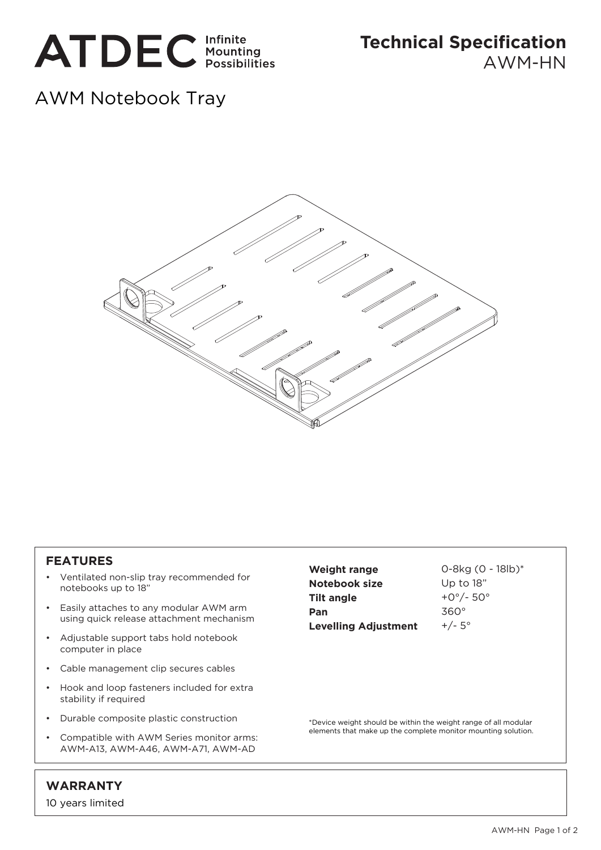

**Technical Specification** AWM-HN

## AWM Notebook Tray



## **FEATURES**

- Ventilated non-slip tray recommended for notebooks up to 18"
- Easily attaches to any modular AWM arm using quick release attachment mechanism
- Adjustable support tabs hold notebook computer in place
- Cable management clip secures cables
- Hook and loop fasteners included for extra stability if required
- Durable composite plastic construction
- Compatible with AWM Series monitor arms: AWM-A13, AWM-A46, AWM-A71, AWM-AD

**Weight range Notebook size Tilt angle Pan Levelling Adjustment**

0-8kg (0 - 18lb)\* Up to 18" +0°/- 50° 360°  $+/- 5^{\circ}$ 

\*Device weight should be within the weight range of all modular elements that make up the complete monitor mounting solution.

## **WARRANTY**

10 years limited